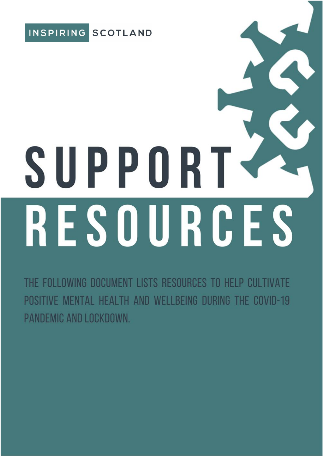

# SUPPORT RESOURCES

THE FOLLOWING DOCUMENT LISTS RESOURCES TO HELP CULTIVATE POSITIVE MENTAL HEALTH AND WELLBEING DURING THE COVID-19 PANDEMIC AND LOCKDOWN.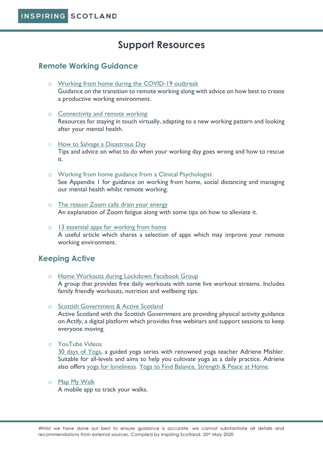# **Support Resources**

# **Remote Working Guidance**

- o [Working from home during the COVID-19 outbreak](https://www.myrtwellbeing.org.uk/latest-information-on-the-coronavirus-covid-19/working-from-home-during-the-covid-19-outbreak/472.article?utm_source=Twitter&utm_campaign=Coronavirus%20home%20working%20F%2018032020&utm_medium=Organic&utm_content=Coronavirus%252) Guidance on the transition to remote working along with advice on how best to create a productive working environment.
- o [Connectivity and remote working](https://www.goodfinance.org.uk/latest/post/coronavirus-post/connectivity-and-remote-working) Resources for staying in touch virtually, adapting to a new working pattern and looking after your mental health.
- o [How to Salvage a Disastrous Day](https://www.chronicle.com/article/How-to-Salvage-a-Disastrous/248569) Tips and advice on what to do when your working day goes wrong and how to rescue it.
- o Working from home guidance from a Clinical Psychologist See Appendix 1 for guidance on working from home, social distancing and managing our mental health whilst remote working.
- o [The reason Zoom calls drain your energy](https://www.bbc.com/worklife/article/20200421-why-zoom-video-chats-are-so-exhausting) An explanation of Zoom fatigue along with some tips on how to alleviate it.
- $\circ$  [13 essential apps for working from home](https://www.freeagent.com/guides/small-business/apps-for-working-from-home/) A useful article which shares a selection of apps which may improve your remote working environment.

# **Keeping Active**

- o [Home Workouts during Lockdown Facebook Group](https://www.facebook.com/groups/141368677202953) A group that provides free daily workouts with some live workout streams. Includes family friendly workouts, nutrition and wellbeing tips.
- o [Scottish Government](https://go.actify.org.uk/covid19-support/) & Active Scotland Active Scotland with the Scottish Government are providing physical activity guidance on Actify, a digital platform which provides free webinars and support sessions to keep everyone moving.
- o YouTube Videos

[30 days of Yoga,](https://www.youtube.com/playlist?list=PLui6Eyny-UzwxbWCWDbTzEwsZnnROBTIL) a guided yoga series with renowned yoga teacher Adriene Mishler. Suitable for all-levels and aims to help you cultivate yoga as a daily practice. Adriene also offers [yoga for loneliness.](https://www.youtube.com/watch?v=DFVzpvz0FgQ) [Yoga to Find Balance, Strength & Peace](https://www.youtube.com/watch?v=ENr27Q1hKsw) at Home.

o [Map My Walk](https://www.mapmywalk.com/)

A mobile app to track your walks.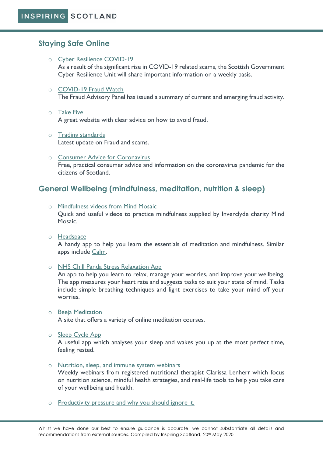# **Staying Safe Online**

- o [Cyber Resilience COVID-19](https://www.sbrcentre.co.uk/news/2020/april/cyber-resilience-notice/) As a result of the significant rise in COVID-19 related scams, the Scottish Government Cyber Resilience Unit will share important information on a weekly basis.
- o [COVID-19 Fraud Watch](https://www.fraudadvisorypanel.org/covid-fraud-watch-group/)

The Fraud Advisory Panel has issued a summary of current and emerging fraud activity.

- o [Take Five](https://takefive-stopfraud.org.uk/) A great website with clear advice on how to avoid fraud.
- o [Trading standards](https://mailchi.mp/b3d2ca964e92/scam-share-focus-on-coronavirus) Latest update on Fraud and scams.
- o [Consumer Advice for Coronavirus](https://coronavirusadvice.scot/knowledge-centre/coronavirus-consumer-advice/) Free, practical consumer advice and information on the coronavirus pandemic for the citizens of Scotland.

# **General Wellbeing (mindfulness, meditation, nutrition & sleep)**

o [Mindfulness videos from Mind Mosaic](https://www.youtube.com/channel/UCR0aW0WqKYV2wn8ym8qAdSg)

Quick and useful videos to practice mindfulness supplied by Inverclyde charity Mind Mosaic.

o [Headspace](https://www.headspace.com/)

A handy app to help you learn the essentials of meditation and mindfulness. Similar apps include [Calm.](https://www.calm.com/)

o [NHS Chill Panda Stress Relaxation App](https://www.nhs.uk/apps-library/chill-panda/)

An app to help you learn to relax, manage your worries, and improve your wellbeing. The app measures your heart rate and suggests tasks to suit your state of mind. Tasks include simple breathing techniques and light exercises to take your mind off your worries.

o [Beeja Meditation](https://www.beejameditation.com/)

A site that offers a variety of online meditation courses.

o [Sleep Cycle App](https://www.sleepcycle.com/)

A useful app which analyses your sleep and wakes you up at the most perfect time, feeling rested.

o [Nutrition, sleep, and immune system webinars](https://clarissalenherr.com/webinars/)

Weekly webinars from registered nutritional therapist Clarissa Lenherr which focus on nutrition science, mindful health strategies, and real-life tools to help you take care of your wellbeing and health.

o [Productivity pressure and why you should](https://www.chronicle.com/article/Why-You-Should-Ignore-All-That/248366) ignore it.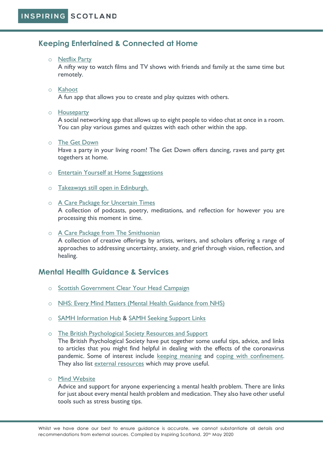# **Keeping Entertained & Connected at Home**

### o [Netflix Party](https://www.netflixparty.com/)

A nifty way to watch films and TV shows with friends and family at the same time but remotely.

### o [Kahoot](https://apps.apple.com/gb/app/kahoot-play-create-quizzes/id1131203560)

A fun app that allows you to create and play quizzes with others.

### o [Houseparty](https://houseparty.com/)

A social networking app that allows up to eight people to video chat at once in a room. You can play various games and quizzes with each other within the app.

### o [The Get Down](https://www.thegetdownnyc.com/)

Have a party in your living room! The Get Down offers dancing, raves and party get togethers at home.

- o [Entertain Yourself at Home Suggestions](https://www.stayhometakecare.com/)
- o [Takeaways still open in Edinburgh.](https://occupyd.com/secret-takeaways-in-edinburgh/?fbclid=IwAR3Z8mE7OQM24nZKHatRG53Xxp7NQwlC051c2LeyL9h2oYE37b9vK7OMVFU)
- o A Care [Package for Uncertain Times](https://onbeing.org/starting-points/a-care-package-for-uncertain-times/?mc_cid=9308a091e5&mc_eid=41b388e850) A collection of podcasts, poetry, meditations, and reflection for however you are processing this moment in time.
- o A Care Package from [The Smithsonian](https://smithsonianapa.org/care/?mc_cid=9308a091e5&mc_eid=41b388e850) A collection of creative offerings by artists, writers, and scholars offering a range of approaches to addressing uncertainty, anxiety, and grief through vision, reflection, and healing.

# **Mental Health Guidance & Services**

- o [Scottish Government Clear Your Head Campaign](https://clearyourhead.scot/)
- o [NHS: Every Mind Matters \(Mental Health Guidance from NHS\)](https://www.nhs.uk/oneyou/every-mind-matters/)
- o [SAMH Information Hub](https://www.samh.org.uk/about-mental-health/self-help-and-wellbeing/coronavirus-information-hub) & [SAMH Seeking Support Links](https://www.samh.org.uk/about-mental-health/self-help-and-wellbeing/coronavirus-information-hub/seeking-support)
- o [The British Psychological Society Resources and Support](https://www.bps.org.uk/responding-coronavirus)

The British Psychological Society have put together some useful tips, advice, and links to articles that you might find helpful in dealing with the effects of the coronavirus pandemic. Some of interest include [keeping meaning](https://thepsychologist.bps.org.uk/keeping-your-sense-meaning-during-lockdown) and [coping with confinement.](https://thepsychologist.bps.org.uk/coping-life-isolation-and-confinement-during-covid-19-pandemic) They also list [external resources](https://www.bps.org.uk/coronavirus-resources/external) which may prove useful.

o [Mind Website](https://www.mind.org.uk/?gclid=CjwKCAjw7e_0BRB7EiwAlH-goKKmf7ebVIlOXc1Og8yhw3VRuS70iOWg5BLLGDRRJibkQPw49Dg7HhoCPhUQAvD_BwE)

Advice and support for anyone experiencing a mental health problem. There are links for just about every mental health problem and medication. They also have other useful tools such as stress busting tips.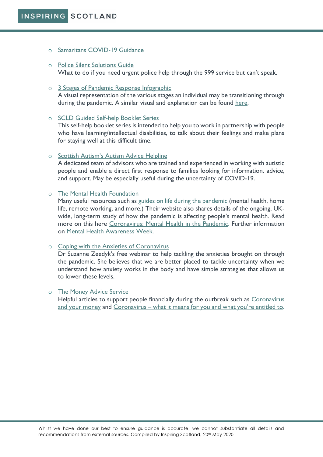### o [Samaritans COVID-19 Guidance](https://www.samaritans.org/scotland/how-we-can-help/support-and-information/if-youre-having-difficult-time/if-youre-worried-about-your-mental-health-during-coronavirus-outbreak/)

### o [Police Silent Solutions Guide](https://www.policeconduct.gov.uk/sites/default/files/Documents/research-learning/Silent_solution_guide.pdf) What to do if you need urgent police help through the 999 service but can't speak.

### o [3 Stages of Pandemic Response Infographic](https://www.instagram.com/p/B-sJl-_FyAc/)

A visual representation of the various stages an individual may be transitioning through during the pandemic. A similar visual and explanation can be found [here.](https://www.samhsa.gov/dtac/recovering-disasters/phases-disaster)

### o [SCLD Guided Self-help Booklet Series](https://www.scld.org.uk/covid-19-guided-self-help-booklet-series/)

This self-help booklet series is intended to help you to work in partnership with people who have learning/intellectual disabilities, to talk about their feelings and make plans for staying well at this difficult time.

### o [Scottish Autism's Autism Advice Helpline](https://urldefense.proofpoint.com/v2/url?u=https-3A__www.scottishautism.org_services-2Dsupport_support-2Dindividuals_autism-2Dadvice-2Dline-2D01259-2D222-2D022&d=DwMFAg&c=euGZstcaTDllvimEN8b7jXrwqOf-v5A_CdpgnVfiiMM&r=77xAPEIr2JnEQSBeitaRuNYL0Duq740bhzEUS_yojLTS482V4PnsLBkW52R14mzA&m=G4tZzVxGWOM6dvv_DQUb1Tkgrgbugx_8jdUYH-ReCqk&s=J4edK4nFBi7WjjeF_2Wg4ZLALSG7LSMsSa4CibQa1Tw&e=)

A dedicated team of advisors who are trained and experienced in working with autistic people and enable a direct first response to families looking for information, advice, and support. May be especially useful during the uncertainty of COVID-19.

### o The Mental Health Foundation

Many useful resources such as [guides on life during the pandemic](https://urldefense.proofpoint.com/v2/url?u=https-3A__www.mentalhealth.org.uk_coronavirus&d=DwMGaQ&c=euGZstcaTDllvimEN8b7jXrwqOf-v5A_CdpgnVfiiMM&r=Q7xn_QYy_Adn7Q0ylJodCdFXElKXxZOIBnbrKHbrowE&m=0VZ9CGz96arwB9YvjXMavLBqWUMMR3wE7U9mEJqW4no&s=wi5pzZKL78L54VRhaTCOpRue-VeCvCXxGqEceUvNzRI&e=) (mental health, home life, remote working, and more.) Their website also shares details of the ongoing, UKwide, long-term study of how the pandemic is affecting people's mental health. Read more on this here [Coronavirus: Mental Health in the Pandemic.](https://www.mentalhealth.org.uk/our-work/research/coronavirus-mental-health-pandemic/) Further information on [Mental Health Awareness Week.](https://urldefense.proofpoint.com/v2/url?u=https-3A__www.mentalhealth.org.uk_campaigns_mental-2Dhealth-2Dawareness-2Dweek&d=DwMGaQ&c=euGZstcaTDllvimEN8b7jXrwqOf-v5A_CdpgnVfiiMM&r=Q7xn_QYy_Adn7Q0ylJodCdFXElKXxZOIBnbrKHbrowE&m=0VZ9CGz96arwB9YvjXMavLBqWUMMR3wE7U9mEJqW4no&s=90EwqJ1t4iUqMhqARSNXAcwOw3dh-DeYZAinAlm5Xeg&e=)

### o [Coping with the Anxieties of Coronavirus](https://www.youtube.com/watch?v=C7re6GzNDHM&feature=youtu.be)

Dr Suzanne Zeedyk's free webinar to help tackling the anxieties brought on through the pandemic. She believes that we are better placed to tackle uncertainty when we understand how anxiety works in the body and have simple strategies that allows us to lower these levels.

### o The Money Advice Service

Helpful articles to support people financially during the outbreak such as [Coronavirus](https://www.moneyadviceservice.org.uk/en/articles/coronavirus-and-your-money)  [and your money](https://www.moneyadviceservice.org.uk/en/articles/coronavirus-and-your-money) and Coronavirus – what it means for yo[u and what you're entitled to](https://www.moneyadviceservice.org.uk/en/articles/coronavirus-what-it-means-for-you).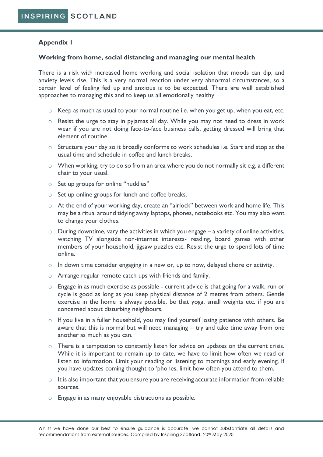## **Appendix 1**

### **Working from home, social distancing and managing our mental health**

There is a risk with increased home working and social isolation that moods can dip, and anxiety levels rise. This is a very normal reaction under very abnormal circumstances, so a certain level of feeling fed up and anxious is to be expected. There are well established approaches to managing this and to keep us all emotionally healthy

- $\circ$  Keep as much as usual to your normal routine i.e. when you get up, when you eat, etc.
- o Resist the urge to stay in pyjamas all day. While you may not need to dress in work wear if you are not doing face-to-face business calls, getting dressed will bring that element of routine.
- $\circ$  Structure your day so it broadly conforms to work schedules i.e. Start and stop at the usual time and schedule in coffee and lunch breaks.
- o When working, try to do so from an area where you do not normally sit e.g. a different chair to your usual.
- o Set up groups for online "huddles"
- o Set up online groups for lunch and coffee breaks.
- o At the end of your working day, create an "airlock" between work and home life. This may be a ritual around tidying away laptops, phones, notebooks etc. You may also want to change your clothes.
- $\circ$  During downtime, vary the activities in which you engage a variety of online activities, watching TV alongside non-internet interests- reading, board games with other members of your household, jigsaw puzzles etc. Resist the urge to spend lots of time online.
- $\circ$  In down time consider engaging in a new or, up to now, delayed chore or activity.
- o Arrange regular remote catch ups with friends and family.
- o Engage in as much exercise as possible current advice is that going for a walk, run or cycle is good as long as you keep physical distance of 2 metres from others. Gentle exercise in the home is always possible, be that yoga, small weights etc. if you are concerned about disturbing neighbours.
- o If you live in a fuller household, you may find yourself losing patience with others. Be aware that this is normal but will need managing – try and take time away from one another as much as you can.
- o There is a temptation to constantly listen for advice on updates on the current crisis. While it is important to remain up to date, we have to limit how often we read or listen to information. Limit your reading or listening to mornings and early evening. If you have updates coming thought to 'phones, limit how often you attend to them.
- $\circ$  It is also important that you ensure you are receiving accurate information from reliable sources.
- o Engage in as many enjoyable distractions as possible.